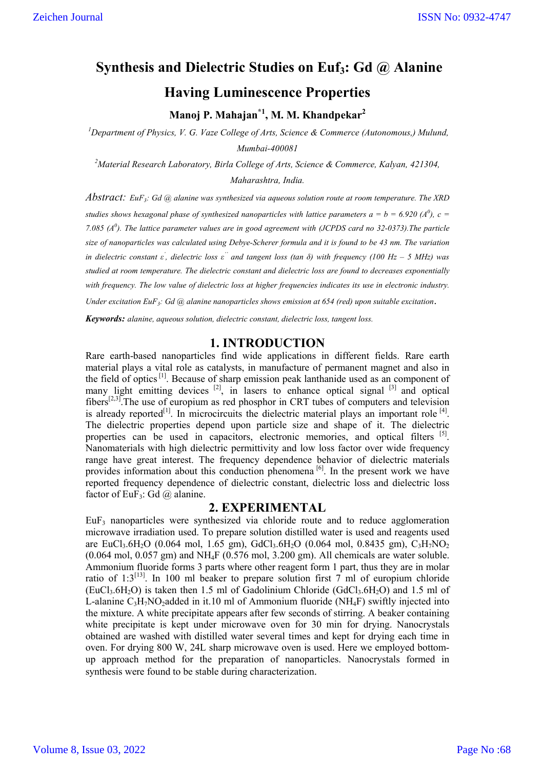# **Synthesis and Dielectric Studies on Euf3: Gd @ Alanine**

## **Having Luminescence Properties**

**Manoj P. Mahajan\*1 , M. M. Khandpekar2**

<sup>1</sup>Department of Physics, V. G. Vaze College of Arts, Science & Commerce (Autonomous,) Mulund, *Mumbai-400081*

*2 Material Research Laboratory, Birla College of Arts, Science & Commerce, Kalyan, 421304, Maharashtra, India.*

*Abstract: EuF3: Gd @ alanine was synthesized via aqueous solution route at room temperature. The XRD studies shows hexagonal phase of synthesized nanoparticles with lattice parameters*  $a = b = 6.920$  *(A<sup>0</sup>),*  $c =$ *7.085 (A<sup>0</sup> ). The lattice parameter values are in good agreement with (JCPDS card no 32-0373).The particle size of nanoparticles was calculated using Debye-Scherer formula and it is found to be 43 nm. The variation in dielectric constant ε' , dielectric loss ε'' and tangent loss (tan δ) with frequency (100 Hz – 5 MHz) was studied at room temperature. The dielectric constant and dielectric loss are found to decreases exponentially with frequency. The low value of dielectric loss at higher frequencies indicates its use in electronic industry.* 

*Under excitation EuF3: Gd @ alanine nanoparticles shows emission at 654 (red) upon suitable excitation*.

*Keywords: alanine, aqueous solution, dielectric constant, dielectric loss, tangent loss.*

## **1. INTRODUCTION**

Rare earth-based nanoparticles find wide applications in different fields. Rare earth material plays a vital role as catalysts, in manufacture of permanent magnet and also in the field of optics<sup>[1]</sup>. Because of sharp emission peak lanthanide used as an component of many light emitting devices  $[2]$ , in lasers to enhance optical signal  $[3]$  and optical  $fibers^{[2,3]}$ . The use of europium as red phosphor in CRT tubes of computers and television is already reported<sup>[1]</sup>. In microcircuits the dielectric material plays an important role  $^{[4]}$ . The dielectric properties depend upon particle size and shape of it. The dielectric properties can be used in capacitors, electronic memories, and optical filters [5]. Nanomaterials with high dielectric permittivity and low loss factor over wide frequency range have great interest. The frequency dependence behavior of dielectric materials provides information about this conduction phenomena<sup>[6]</sup>. In the present work we have reported frequency dependence of dielectric constant, dielectric loss and dielectric loss factor of EuF<sub>3</sub>: Gd  $@$  alanine.

## **2. EXPERIMENTAL**

EuF3 nanoparticles were synthesized via chloride route and to reduce agglomeration microwave irradiation used. To prepare solution distilled water is used and reagents used are EuCl<sub>3</sub>.6H<sub>2</sub>O (0.064 mol, 1.65 gm), GdCl<sub>3</sub>.6H<sub>2</sub>O (0.064 mol, 0.8435 gm), C<sub>3</sub>H<sub>7</sub>NO<sub>2</sub>  $(0.064 \text{ mol}, 0.057 \text{ gm})$  and NH<sub>4</sub>F  $(0.576 \text{ mol}, 3.200 \text{ gm})$ . All chemicals are water soluble. Ammonium fluoride forms 3 parts where other reagent form 1 part, thus they are in molar ratio of  $1:3^{[13]}$ . In 100 ml beaker to prepare solution first 7 ml of europium chloride  $(EuCl<sub>3</sub>, 6H<sub>2</sub>O)$  is taken then 1.5 ml of Gadolinium Chloride  $(GdCl<sub>3</sub>, 6H<sub>2</sub>O)$  and 1.5 ml of L-alanine  $C_3H_7NO_2$ added in it.10 ml of Ammonium fluoride (NH<sub>4</sub>F) swiftly injected into the mixture. A white precipitate appears after few seconds of stirring. A beaker containing white precipitate is kept under microwave oven for 30 min for drying. Nanocrystals obtained are washed with distilled water several times and kept for drying each time in oven. For drying 800 W, 24L sharp microwave oven is used. Here we employed bottomup approach method for the preparation of nanoparticles. Nanocrystals formed in synthesis were found to be stable during characterization.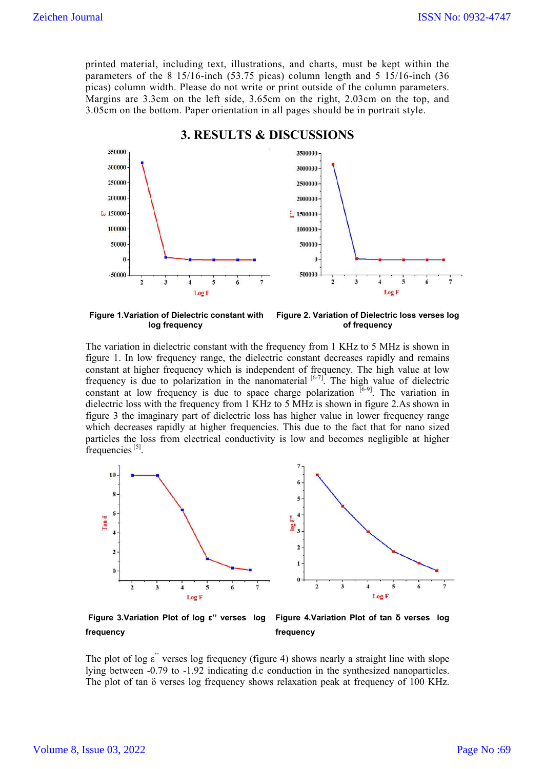printed material, including text, illustrations, and charts, must be kept within the parameters of the  $8 \frac{15}{16}$ -inch (53.75 picas) column length and  $5 \frac{15}{16}$ -inch (36) picas) column width. Please do not write or print outside of the column parameters. Margins are 3.3cm on the left side, 3.65cm on the right, 2.03cm on the top, and 3.05cm on the bottom. Paper orientation in all pages should be in portrait style.



**Figure 1.Variation of Dielectric constant with log frequency Figure 2. Variation of Dielectric loss verses log of frequency**

The variation in dielectric constant with the frequency from 1 KHz to 5 MHz is shown in figure 1. In low frequency range, the dielectric constant decreases rapidly and remains constant at higher frequency which is independent of frequency. The high value at low frequency is due to polarization in the nanomaterial  $[6-7]$ . The high value of dielectric constant at low frequency is due to space charge polarization  $[6-9]$ . The variation in dielectric loss with the frequency from 1 KHz to 5 MHz is shown in figure 2.As shown in figure 3 the imaginary part of dielectric loss has higher value in lower frequency range which decreases rapidly at higher frequencies. This due to the fact that for nano sized particles the loss from electrical conductivity is low and becomes negligible at higher frequencies $^{[5]}$ .



**Figure 3.Variation Plot of log ε'' verses log frequency Figure 4.Variation Plot of tan δ verses log frequency** 

The plot of log ε<sup>"</sup> verses log frequency (figure 4) shows nearly a straight line with slope lying between -0.79 to -1.92 indicating d.c conduction in the synthesized nanoparticles. The plot of tan  $\delta$  verses log frequency shows relaxation peak at frequency of 100 KHz.